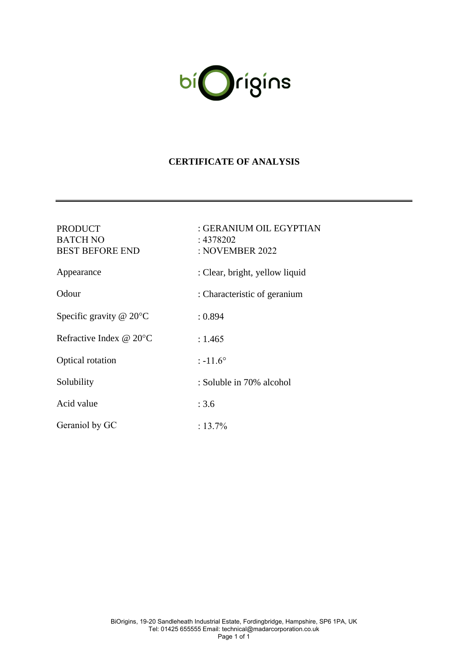

### **CERTIFICATE OF ANALYSIS**

| <b>PRODUCT</b><br><b>BATCH NO</b><br><b>BEST BEFORE END</b> | : GERANIUM OIL EGYPTIAN<br>: 4378202<br>: NOVEMBER 2022 |
|-------------------------------------------------------------|---------------------------------------------------------|
| Appearance                                                  | : Clear, bright, yellow liquid                          |
| Odour                                                       | : Characteristic of geranium                            |
| Specific gravity $@$ 20 $°C$                                | : 0.894                                                 |
| Refractive Index $@$ 20 $°C$                                | : 1.465                                                 |
| Optical rotation                                            | $: -11.6^{\circ}$                                       |
| Solubility                                                  | : Soluble in 70% alcohol                                |
| Acid value                                                  | : 3.6                                                   |
| Geraniol by GC                                              | $: 13.7\%$                                              |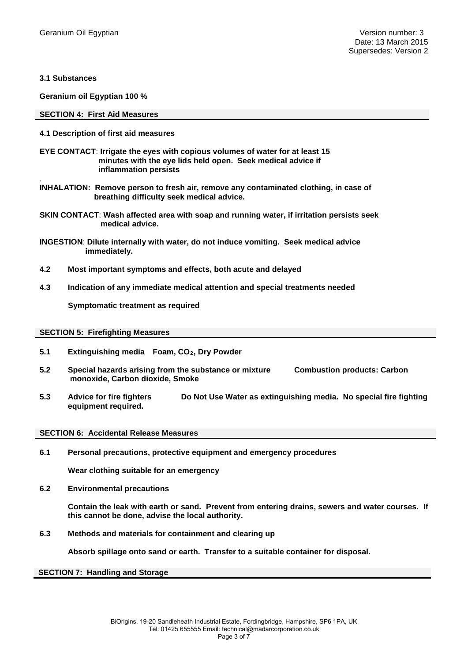**3.1 Substances** 

**Geranium oil Egyptian 100 %**

#### **SECTION 4: First Aid Measures**

#### **4.1 Description of first aid measures**

- **EYE CONTACT**: **Irrigate the eyes with copious volumes of water for at least 15 minutes with the eye lids held open. Seek medical advice if inflammation persists**
- . **INHALATION: Remove person to fresh air, remove any contaminated clothing, in case of breathing difficulty seek medical advice.**
- **SKIN CONTACT**: **Wash affected area with soap and running water, if irritation persists seek medical advice.**
- **INGESTION**: **Dilute internally with water, do not induce vomiting. Seek medical advice immediately.**
- **4.2 Most important symptoms and effects, both acute and delayed**
- **4.3 Indication of any immediate medical attention and special treatments needed**

**Symptomatic treatment as required**

#### **SECTION 5: Firefighting Measures**

- **5.1 Extinguishing media Foam, CO2, Dry Powder**
- **5.2 Special hazards arising from the substance or mixture Combustion products: Carbon monoxide, Carbon dioxide, Smoke**
- **5.3 Advice for fire fighters Do Not Use Water as extinguishing media. No special fire fighting equipment required.**

#### **SECTION 6: Accidental Release Measures**

**6.1 Personal precautions, protective equipment and emergency procedures**

**Wear clothing suitable for an emergency**

**6.2 Environmental precautions**

**Contain the leak with earth or sand. Prevent from entering drains, sewers and water courses. If this cannot be done, advise the local authority.**

**6.3 Methods and materials for containment and clearing up**

**Absorb spillage onto sand or earth. Transfer to a suitable container for disposal.**

**SECTION 7: Handling and Storage**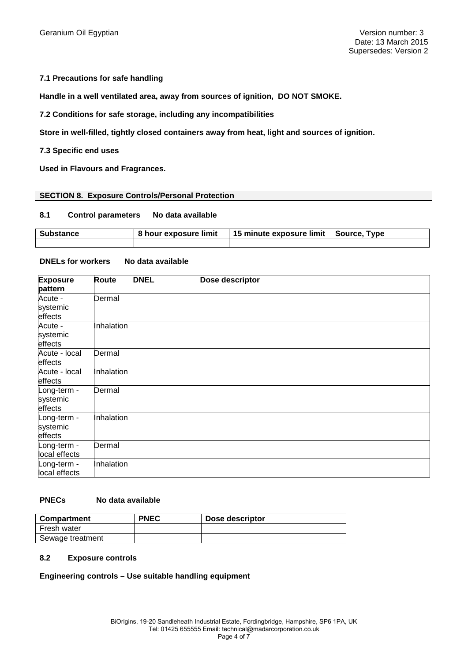#### **7.1 Precautions for safe handling**

**Handle in a well ventilated area, away from sources of ignition, DO NOT SMOKE.**

**7.2 Conditions for safe storage, including any incompatibilities**

**Store in well-filled, tightly closed containers away from heat, light and sources of ignition.**

**7.3 Specific end uses**

**Used in Flavours and Fragrances.**

#### **SECTION 8. Exposure Controls/Personal Protection**

#### **8.1 Control parameters No data available**

| <b>Substance</b> | 8 hour exposure limit | 15 minute exposure limit | Source, Type |
|------------------|-----------------------|--------------------------|--------------|
|                  |                       |                          |              |

#### **DNELs for workers No data available**

| <b>Exposure</b><br>pattern         | <b>Route</b> | <b>DNEL</b> | Dose descriptor |
|------------------------------------|--------------|-------------|-----------------|
| Acute -<br>systemic<br>effects     | Dermal       |             |                 |
| Acute -<br>systemic<br>effects     | Inhalation   |             |                 |
| Acute - local<br>effects           | Dermal       |             |                 |
| Acute - local<br>effects           | Inhalation   |             |                 |
| Long-term -<br>systemic<br>effects | Dermal       |             |                 |
| Long-term -<br>systemic<br>effects | Inhalation   |             |                 |
| Long-term -<br>local effects       | Dermal       |             |                 |
| Long-term -<br>local effects       | Inhalation   |             |                 |

#### **PNECs No data available**

| <b>Compartment</b> | <b>PNEC</b> | Dose descriptor |
|--------------------|-------------|-----------------|
| Fresh water        |             |                 |
| Sewage treatment   |             |                 |

#### **8.2 Exposure controls**

#### **Engineering controls – Use suitable handling equipment**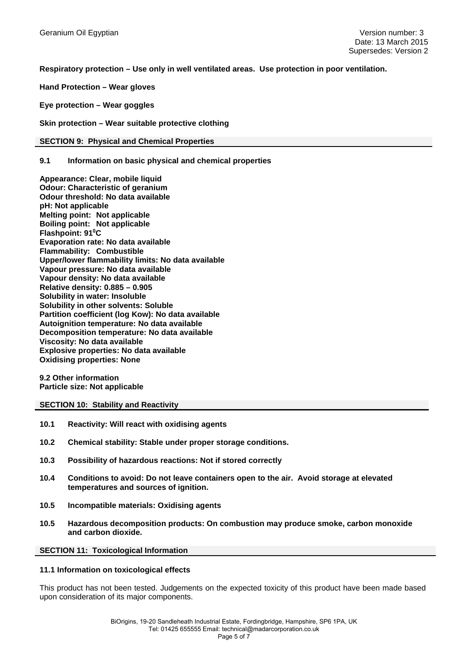**Respiratory protection – Use only in well ventilated areas. Use protection in poor ventilation.**

**Hand Protection – Wear gloves**

**Eye protection – Wear goggles**

**Skin protection – Wear suitable protective clothing**

#### **SECTION 9: Physical and Chemical Properties**

#### **9.1 Information on basic physical and chemical properties**

**Appearance: Clear, mobile liquid Odour: Characteristic of geranium Odour threshold: No data available pH: Not applicable Melting point: Not applicable Boiling point: Not applicable Flashpoint: 91°C Evaporation rate: No data available Flammability: Combustible Upper/lower flammability limits: No data available Vapour pressure: No data available Vapour density: No data available Relative density: 0.885 – 0.905 Solubility in water: Insoluble Solubility in other solvents: Soluble Partition coefficient (log Kow): No data available Autoignition temperature: No data available Decomposition temperature: No data available Viscosity: No data available Explosive properties: No data available Oxidising properties: None** 

**9.2 Other information Particle size: Not applicable** 

#### **SECTION 10: Stability and Reactivity**

- **10.1 Reactivity: Will react with oxidising agents**
- **10.2 Chemical stability: Stable under proper storage conditions.**
- **10.3 Possibility of hazardous reactions: Not if stored correctly**
- **10.4 Conditions to avoid: Do not leave containers open to the air. Avoid storage at elevated temperatures and sources of ignition.**
- **10.5 Incompatible materials: Oxidising agents**
- **10.5 Hazardous decomposition products: On combustion may produce smoke, carbon monoxide and carbon dioxide.**

#### **SECTION 11: Toxicological Information**

#### **11.1 Information on toxicological effects**

This product has not been tested. Judgements on the expected toxicity of this product have been made based upon consideration of its major components.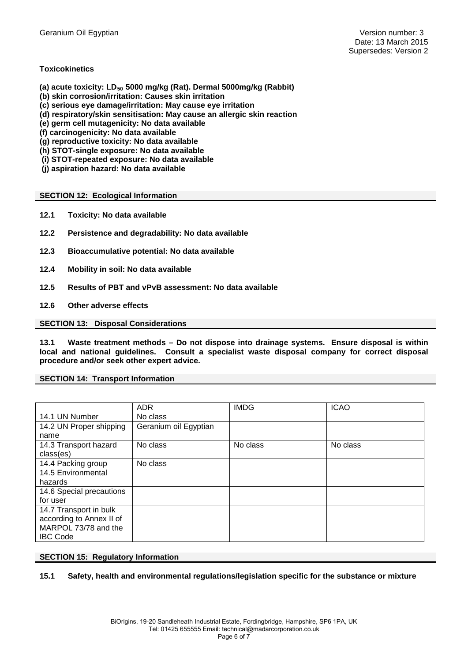#### **Toxicokinetics**

- (a) acute toxicity: LD<sub>50</sub> 5000 mg/kg (Rat). Dermal 5000mg/kg (Rabbit)
- **(b) skin corrosion/irritation: Causes skin irritation**
- **(c) serious eye damage/irritation: May cause eye irritation**
- **(d) respiratory/skin sensitisation: May cause an allergic skin reaction**
- **(e) germ cell mutagenicity: No data available**
- **(f) carcinogenicity: No data available**
- **(g) reproductive toxicity: No data available**
- **(h) STOT-single exposure: No data available**
- **(i) STOT-repeated exposure: No data available**
- **(j) aspiration hazard: No data available**

#### **SECTION 12: Ecological Information**

- **12.1 Toxicity: No data available**
- **12.2 Persistence and degradability: No data available**
- **12.3 Bioaccumulative potential: No data available**
- **12.4 Mobility in soil: No data available**
- **12.5 Results of PBT and vPvB assessment: No data available**
- **12.6 Other adverse effects**

#### **SECTION 13: Disposal Considerations**

**13.1 Waste treatment methods – Do not dispose into drainage systems. Ensure disposal is within local and national guidelines. Consult a specialist waste disposal company for correct disposal procedure and/or seek other expert advice.**

#### **SECTION 14: Transport Information**

|                          | <b>ADR</b>            | <b>IMDG</b> | <b>ICAO</b> |
|--------------------------|-----------------------|-------------|-------------|
| 14.1 UN Number           | No class              |             |             |
| 14.2 UN Proper shipping  | Geranium oil Egyptian |             |             |
| name                     |                       |             |             |
| 14.3 Transport hazard    | No class              | No class    | No class    |
| class(es)                |                       |             |             |
| 14.4 Packing group       | No class              |             |             |
| 14.5 Environmental       |                       |             |             |
| hazards                  |                       |             |             |
| 14.6 Special precautions |                       |             |             |
| for user                 |                       |             |             |
| 14.7 Transport in bulk   |                       |             |             |
| according to Annex II of |                       |             |             |
| MARPOL 73/78 and the     |                       |             |             |
| <b>IBC Code</b>          |                       |             |             |

#### **SECTION 15: Regulatory Information**

#### **15.1 Safety, health and environmental regulations/legislation specific for the substance or mixture**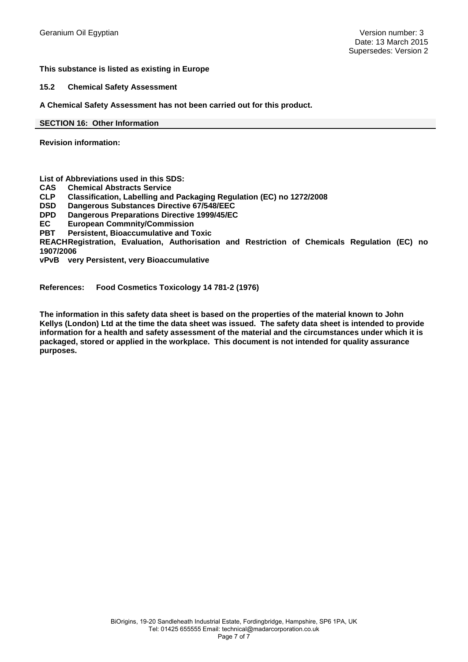#### **This substance is listed as existing in Europe**

**15.2 Chemical Safety Assessment**

**A Chemical Safety Assessment has not been carried out for this product.**

**SECTION 16: Other Information**

**Revision information:** 

**List of Abbreviations used in this SDS:**

- **CAS Chemical Abstracts Service**
- **CLP Classification, Labelling and Packaging Regulation (EC) no 1272/2008**

**DSD Dangerous Substances Directive 67/548/EEC**

**Dangerous Preparations Directive 1999/45/EC** 

**EC European Commnity/Commission Persistent, Bioaccumulative and Toxic** 

**REACH Registration, Evaluation, Authorisation and Restriction of Chemicals Regulation (EC) no 1907/2006**

**vPvB very Persistent, very Bioaccumulative**

**References: Food Cosmetics Toxicology 14 781-2 (1976)**

**The information in this safety data sheet is based on the properties of the material known to John Kellys (London) Ltd at the time the data sheet was issued. The safety data sheet is intended to provide information for a health and safety assessment of the material and the circumstances under which it is packaged, stored or applied in the workplace. This document is not intended for quality assurance purposes.**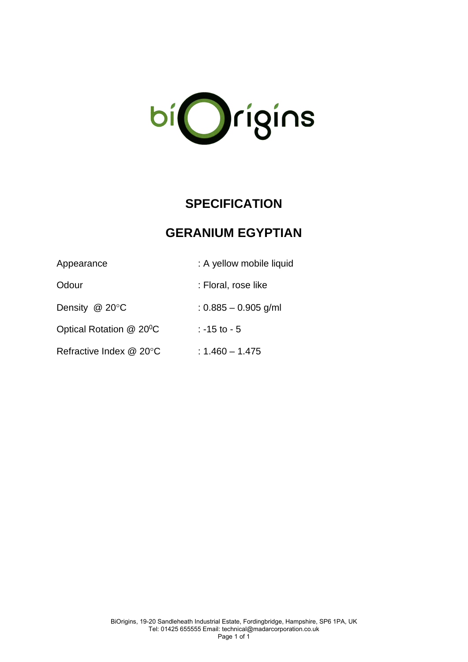

# **SPECIFICATION**

## **GERANIUM EGYPTIAN**

| Appearance                           | : A yellow mobile liquid |
|--------------------------------------|--------------------------|
| Odour                                | : Floral, rose like      |
| Density $@$ 20 $°C$                  | $: 0.885 - 0.905$ g/ml   |
| Optical Rotation @ 20 <sup>o</sup> C | $: -15$ to $-5$          |
| Refractive Index @ 20°C              | $: 1.460 - 1.475$        |